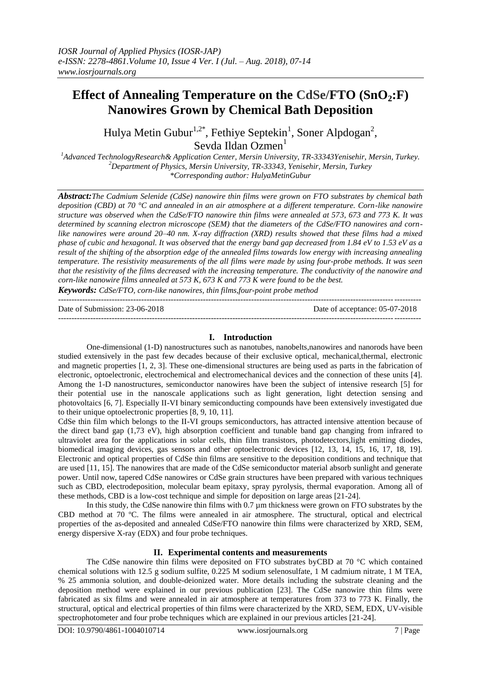# **Effect of Annealing Temperature on the CdSe/FTO (SnO2:F) Nanowires Grown by Chemical Bath Deposition**

Hulya Metin Gubur<sup>1,2\*</sup>, Fethiye Septekin<sup>1</sup>, Soner Alpdogan<sup>2</sup>, Sevda Ildan Ozmen<sup>1</sup>

*<sup>1</sup>Advanced TechnologyResearch& Application Center, Mersin University, TR-33343Yenisehir, Mersin, Turkey. <sup>2</sup>Department of Physics, Mersin University, TR-33343, Yenisehir, Mersin, Turkey \*Corresponding author: HulyaMetinGubur*

*Abstract:The Cadmium Selenide (CdSe) nanowire thin films were grown on FTO substrates by chemical bath deposition (CBD) at 70 °C and annealed in an air atmosphere at a different temperature. Corn-like nanowire structure was observed when the CdSe/FTO nanowire thin films were annealed at 573, 673 and 773 K. It was determined by scanning electron microscope (SEM) that the diameters of the CdSe/FTO nanowires and cornlike nanowires were around 20–40 nm. X-ray diffraction (XRD) results showed that these films had a mixed phase of cubic and hexagonal. It was observed that the energy band gap decreased from 1.84 eV to 1.53 eV as a result of the shifting of the absorption edge of the annealed films towards low energy with increasing annealing temperature. The resistivity measurements of the all films were made by using four-probe methods. It was seen that the resistivity of the films decreased with the increasing temperature. The conductivity of the nanowire and corn-like nanowire films annealed at 573 K, 673 K and 773 K were found to be the best.*

*Keywords: CdSe/FTO, corn-like nanowires, thin films,four-point probe method* ---------------------------------------------------------------------------------------------------------------------------------------

Date of Submission: 23-06-2018 Date of acceptance: 05-07-2018

# **I. Introduction**

---------------------------------------------------------------------------------------------------------------------------------------

One-dimensional (1-D) nanostructures such as nanotubes, nanobelts,nanowires and nanorods have been studied extensively in the past few decades because of their exclusive optical, mechanical,thermal, electronic and magnetic properties [1, 2, 3]. These one-dimensional structures are being used as parts in the fabrication of electronic, optoelectronic, electrochemical and electromechanical devices and the connection of these units [4]. Among the 1-D nanostructures, semiconductor nanowires have been the subject of intensive research [5] for their potential use in the nanoscale applications such as light generation, light detection sensing and photovoltaics [6, 7]. Especially II-VI binary semiconducting compounds have been extensively investigated due to their unique optoelectronic properties [8, 9, 10, 11].

CdSe thin film which belongs to the II-VI groups semiconductors, has attracted intensive attention because of the direct band gap (1,73 eV), high absorption coefficient and tunable band gap changing from infrared to ultraviolet area for the applications in solar cells, thin film transistors, photodetectors,light emitting diodes, biomedical imaging devices, gas sensors and other optoelectronic devices [12, 13, 14, 15, 16, 17, 18, 19]. Electronic and optical properties of CdSe thin films are sensitive to the deposition conditions and technique that are used [11, 15]. The nanowires that are made of the CdSe semiconductor material absorb sunlight and generate power. Until now, tapered CdSe nanowires or CdSe grain structures have been prepared with various techniques such as CBD, electrodeposition, molecular beam epitaxy, spray pyrolysis, thermal evaporation. Among all of these methods, CBD is a low-cost technique and simple for deposition on large areas [21-24].

In this study, the CdSe nanowire thin films with 0.7  $\mu$ m thickness were grown on FTO substrates by the CBD method at 70 ºC. The films were annealed in air atmosphere. The structural, optical and electrical properties of the as-deposited and annealed CdSe/FTO nanowire thin films were characterized by XRD, SEM, energy dispersive X-ray (EDX) and four probe techniques.

## **II. Experimental contents and measurements**

The CdSe nanowire thin films were deposited on FTO substrates byCBD at 70 °C which contained chemical solutions with 12.5 g sodium sulfite, 0.225 M sodium selenosulfate, 1 M cadmium nitrate, 1 M TEA, % 25 ammonia solution, and double-deionized water. More details including the substrate cleaning and the deposition method were explained in our previous publication [23]. The CdSe nanowire thin films were fabricated as six films and were annealed in air atmosphere at temperatures from 373 to 773 K. Finally, the structural, optical and electrical properties of thin films were characterized by the XRD, SEM, EDX, UV-visible spectrophotometer and four probe techniques which are explained in our previous articles [21-24].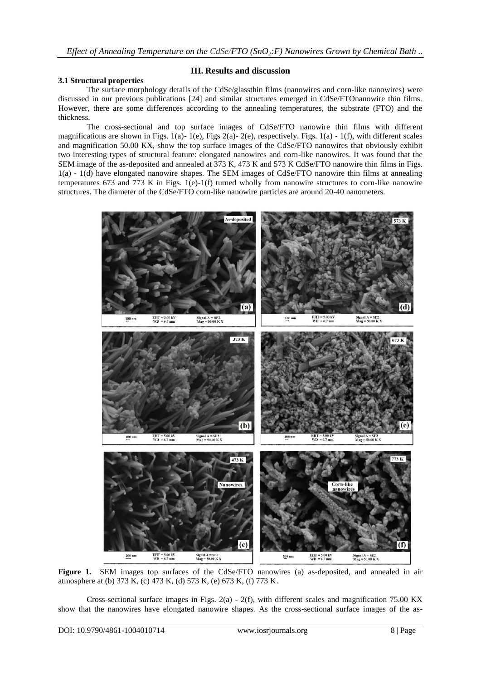## **3.1 Structural properties**

## **III. Results and discussion**

The surface morphology details of the CdSe/glassthin films (nanowires and corn-like nanowires) were discussed in our previous publications [24] and similar structures emerged in CdSe/FTOnanowire thin films. However, there are some differences according to the annealing temperatures, the substrate (FTO) and the thickness.

The cross-sectional and top surface images of CdSe/FTO nanowire thin films with different magnifications are shown in Figs. 1(a)- 1(e), Figs 2(a)- 2(e), respectively. Figs. 1(a) - 1(f), with different scales and magnification 50.00 KX, show the top surface images of the CdSe/FTO nanowires that obviously exhibit two interesting types of structural feature: elongated nanowires and corn-like nanowires. It was found that the SEM image of the as-deposited and annealed at 373 K, 473 K and 573 K CdSe/FTO nanowire thin films in Figs. 1(a) - 1(d) have elongated nanowire shapes. The SEM images of CdSe/FTO nanowire thin films at annealing temperatures 673 and 773 K in Figs. 1(e)-1(f) turned wholly from nanowire structures to corn-like nanowire structures. The diameter of the CdSe/FTO corn-like nanowire particles are around 20-40 nanometers.



**Figure 1.** SEM images top surfaces of the CdSe/FTO nanowires (a) as-deposited, and annealed in air atmosphere at (b) 373 K, (c) 473 K, (d) 573 K, (e) 673 K, (f) 773 K.

Cross-sectional surface images in Figs.  $2(a) - 2(f)$ , with different scales and magnification 75.00 KX show that the nanowires have elongated nanowire shapes. As the cross-sectional surface images of the as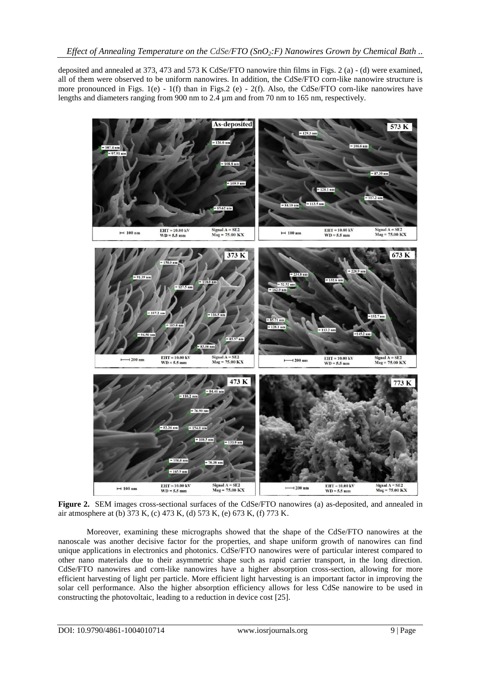deposited and annealed at 373, 473 and 573 K CdSe/FTO nanowire thin films in Figs. 2 (a) - (d) were examined, all of them were observed to be uniform nanowires. In addition, the CdSe/FTO corn-like nanowire structure is more pronounced in Figs. 1(e) - 1(f) than in Figs. 2 (e) - 2(f). Also, the CdSe/FTO corn-like nanowires have lengths and diameters ranging from 900 nm to 2.4  $\mu$ m and from 70 nm to 165 nm, respectively.



**Figure 2.** SEM images cross-sectional surfaces of the CdSe/FTO nanowires (a) as-deposited, and annealed in air atmosphere at (b) 373 K, (c) 473 K, (d) 573 K, (e) 673 K, (f) 773 K.

Moreover, examining these micrographs showed that the shape of the CdSe/FTO nanowires at the nanoscale was another decisive factor for the properties, and shape uniform growth of nanowires can find unique applications in electronics and photonics. CdSe/FTO nanowires were of particular interest compared to other nano materials due to their asymmetric shape such as rapid carrier transport, in the long direction. CdSe/FTO nanowires and corn-like nanowires have a higher absorption cross-section, allowing for more efficient harvesting of light per particle. More efficient light harvesting is an important factor in improving the solar cell performance. Also the higher absorption efficiency allows for less CdSe nanowire to be used in constructing the photovoltaic, leading to a reduction in device cost [25].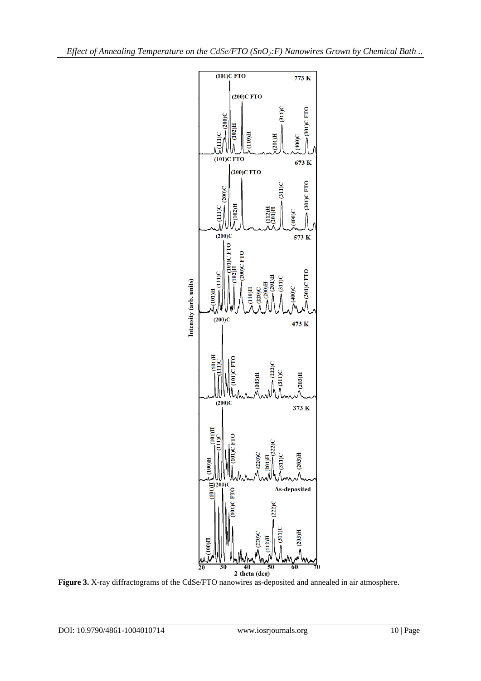

**Figure 3.** X-ray diffractograms of the CdSe/FTO nanowires as-deposited and annealed in air atmosphere.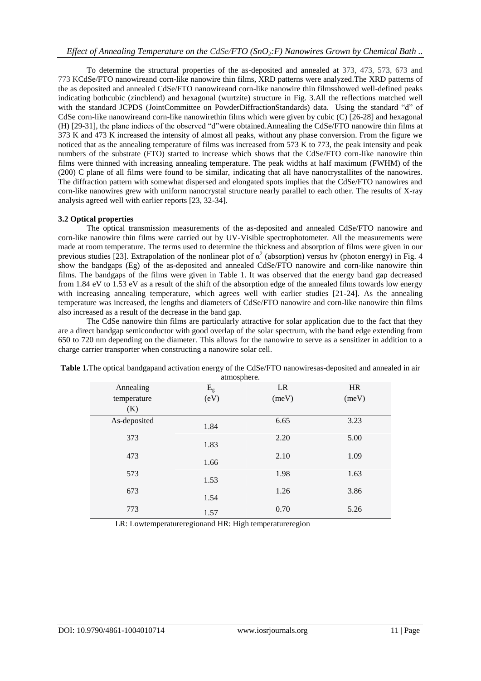To determine the structural properties of the as-deposited and annealed at 373, 473, 573, 673 and 773 KCdSe/FTO nanowireand corn-like nanowire thin films, XRD patterns were analyzed.The XRD patterns of the as deposited and annealed CdSe/FTO nanowireand corn-like nanowire thin filmsshowed well-defined peaks indicating bothcubic (zincblend) and hexagonal (wurtzite) structure in Fig. 3.All the reflections matched well with the standard JCPDS (JointCommittee on PowderDiffractionStandards) data. Using the standard "d" of CdSe corn-like nanowireand corn-like nanowirethin films which were given by cubic (C) [26-28] and hexagonal (H) [29-31], the plane indices of the observed "d"were obtained.Annealing the CdSe/FTO nanowire thin films at 373 K and 473 K increased the intensity of almost all peaks, without any phase conversion. From the figure we noticed that as the annealing temperature of films was increased from 573 K to 773, the peak intensity and peak numbers of the substrate (FTO) started to increase which shows that the CdSe/FTO corn-like nanowire thin films were thinned with increasing annealing temperature. The peak widths at half maximum (FWHM) of the (200) C plane of all films were found to be similar, indicating that all have nanocrystallites of the nanowires. The diffraction pattern with somewhat dispersed and elongated spots implies that the CdSe/FTO nanowires and corn-like nanowires grew with uniform nanocrystal structure nearly parallel to each other. The results of X-ray analysis agreed well with earlier reports [23, 32-34].

# **3.2 Optical properties**

The optical transmission measurements of the as-deposited and annealed CdSe/FTO nanowire and corn-like nanowire thin films were carried out by UV-Visible spectrophotometer. All the measurements were made at room temperature. The terms used to determine the thickness and absorption of films were given in our previous studies [23]. Extrapolation of the nonlinear plot of  $\alpha^2$  (absorption) versus hv (photon energy) in Fig. 4 show the bandgaps (Eg) of the as-deposited and annealed CdSe/FTO nanowire and corn-like nanowire thin films. The bandgaps of the films were given in Table 1. It was observed that the energy band gap decreased from 1.84 eV to 1.53 eV as a result of the shift of the absorption edge of the annealed films towards low energy with increasing annealing temperature, which agrees well with earlier studies [21-24]. As the annealing temperature was increased, the lengths and diameters of CdSe/FTO nanowire and corn-like nanowire thin films also increased as a result of the decrease in the band gap.

The CdSe nanowire thin films are particularly attractive for solar application due to the fact that they are a direct bandgap semiconductor with good overlap of the solar spectrum, with the band edge extending from 650 to 720 nm depending on the diameter. This allows for the nanowire to serve as a sensitizer in addition to a charge carrier transporter when constructing a nanowire solar cell.

| Annealing    | $E_{g}$ | LR    | <b>HR</b> |
|--------------|---------|-------|-----------|
| temperature  | (eV)    | (meV) | (meV)     |
| (K)          |         |       |           |
| As-deposited | 1.84    | 6.65  | 3.23      |
| 373          | 1.83    | 2.20  | 5.00      |
| 473          | 1.66    | 2.10  | 1.09      |
| 573          | 1.53    | 1.98  | 1.63      |
| 673          | 1.54    | 1.26  | 3.86      |
| 773          | 1.57    | 0.70  | 5.26      |

**Table 1.**The optical bandgapand activation energy of the CdSe/FTO nanowiresas-deposited and annealed in air .<br>. <sup>atmosphere</sup>

LR: Lowtemperatureregionand HR: High temperatureregion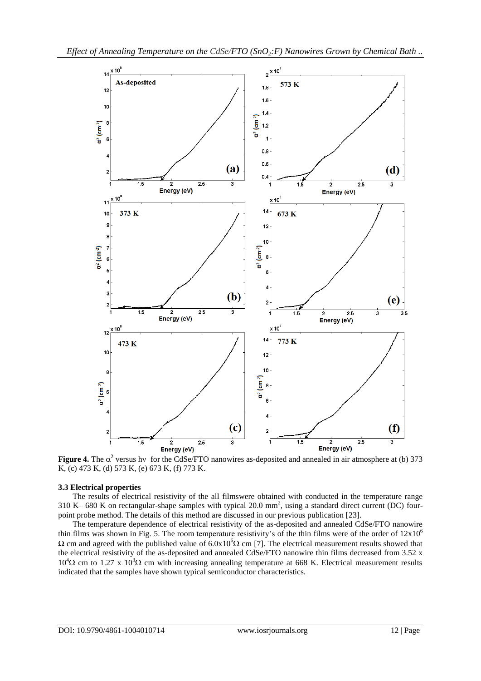

**Figure 4.** The  $\alpha^2$  versus hv for the CdSe/FTO nanowires as-deposited and annealed in air atmosphere at (b) 373 K, (c) 473 K, (d) 573 K, (e) 673 K, (f) 773 K.

#### **3.3 Electrical properties**

The results of electrical resistivity of the all filmswere obtained with conducted in the temperature range 310 K– 680 K on rectangular-shape samples with typical  $20.0 \text{ mm}^2$ , using a standard direct current (DC) fourpoint probe method. The details of this method are discussed in our previous publication [23].

The temperature dependence of electrical resistivity of the as-deposited and annealed CdSe/FTO nanowire thin films was shown in Fig. 5. The room temperature resistivity's of the thin films were of the order of  $12x10^6$  $Ω$  cm and agreed with the published value of  $6.0x10<sup>6</sup>Ω$  cm [7]. The electrical measurement results showed that the electrical resistivity of the as-deposited and annealed CdSe/FTO nanowire thin films decreased from 3.52 x  $10^{4}\Omega$  cm to 1.27 x  $10^{3}\Omega$  cm with increasing annealing temperature at 668 K. Electrical measurement results indicated that the samples have shown typical semiconductor characteristics.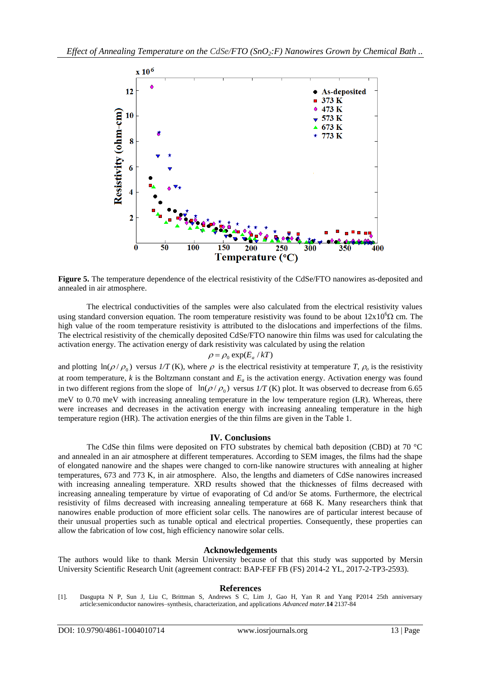

**Figure 5.** The temperature dependence of the electrical resistivity of the CdSe/FTO nanowires as-deposited and annealed in air atmosphere.

The electrical conductivities of the samples were also calculated from the electrical resistivity values using standard conversion equation. The room temperature resistivity was found to be about  $12x10^{6}\Omega$  cm. The high value of the room temperature resistivity is attributed to the dislocations and imperfections of the films. The electrical resistivity of the chemically deposited CdSe/FTO nanowire thin films was used for calculating the activation energy. The activation energy of dark resistivity was calculated by using the relation

$$
\rho = \rho_0 \exp(E_a / kT)
$$

and plotting  $\ln(\rho/\rho_0)$  versus  $1/T$  (K), where  $\rho$  is the electrical resistivity at temperature *T*,  $\rho_0$  is the resistivity at room temperature, *k* is the Boltzmann constant and *E<sup>a</sup>* is the activation energy. Activation energy was found in two different regions from the slope of  $\ln(\rho/\rho_0)$  versus  $1/T$  (K) plot. It was observed to decrease from 6.65 meV to 0.70 meV with increasing annealing temperature in the low temperature region (LR). Whereas, there were increases and decreases in the activation energy with increasing annealing temperature in the high temperature region (HR). The activation energies of the thin films are given in the Table 1.

### **IV. Conclusions**

The CdSe thin films were deposited on FTO substrates by chemical bath deposition (CBD) at 70 °C and annealed in an air atmosphere at different temperatures. According to SEM images, the films had the shape of elongated nanowire and the shapes were changed to corn-like nanowire structures with annealing at higher temperatures, 673 and 773 K, in air atmosphere. Also, the lengths and diameters of CdSe nanowires increased with increasing annealing temperature. XRD results showed that the thicknesses of films decreased with increasing annealing temperature by virtue of evaporating of Cd and/or Se atoms. Furthermore, the electrical resistivity of films decreased with increasing annealing temperature at 668 K. Many researchers think that nanowires enable production of more efficient solar cells. The nanowires are of particular interest because of their unusual properties such as tunable optical and electrical properties. Consequently, these properties can allow the fabrication of low cost, high efficiency nanowire solar cells.

## **Acknowledgements**

The authors would like to thank Mersin University because of that this study was supported by Mersin University Scientific Research Unit (agreement contract: BAP-FEF FB (FS) 2014-2 YL, 2017-2-TP3-2593).

## **References**

<sup>[1].</sup> Dasgupta N P, Sun J, Liu C, Brittman S, Andrews S C, Lim J, Gao H, Yan R and Yang P2014 25th anniversary article:semiconductor nanowires–synthesis, characterization, and applications *Advanced mater.***14** 2137-84